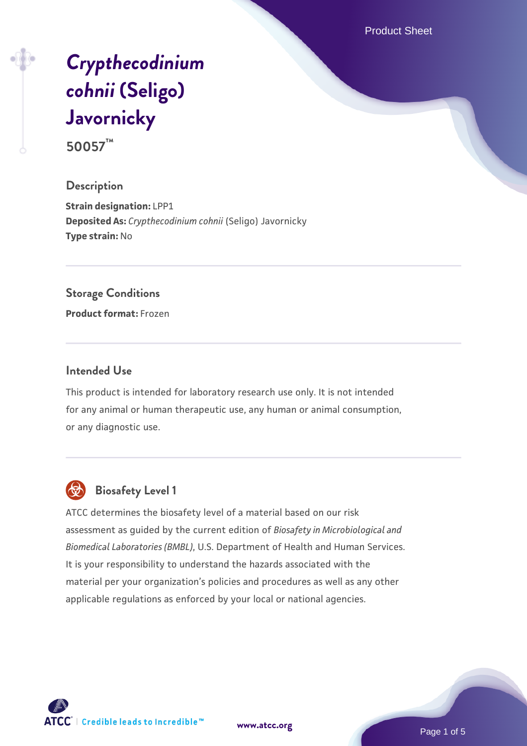Product Sheet

# *[Crypthecodinium](https://www.atcc.org/products/50057) [cohnii](https://www.atcc.org/products/50057)* **[\(Seligo\)](https://www.atcc.org/products/50057) [Javornicky](https://www.atcc.org/products/50057)**

**50057™**

#### **Description**

**Strain designation:** LPP1 **Deposited As:** *Crypthecodinium cohnii* (Seligo) Javornicky **Type strain:** No

#### **Storage Conditions**

**Product format:** Frozen

#### **Intended Use**

This product is intended for laboratory research use only. It is not intended for any animal or human therapeutic use, any human or animal consumption, or any diagnostic use.



# **Biosafety Level 1**

ATCC determines the biosafety level of a material based on our risk assessment as guided by the current edition of *Biosafety in Microbiological and Biomedical Laboratories (BMBL)*, U.S. Department of Health and Human Services. It is your responsibility to understand the hazards associated with the material per your organization's policies and procedures as well as any other applicable regulations as enforced by your local or national agencies.

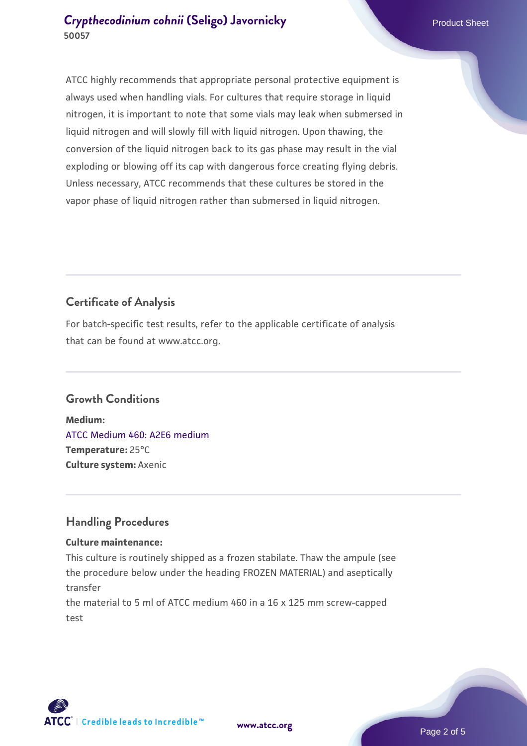ATCC highly recommends that appropriate personal protective equipment is always used when handling vials. For cultures that require storage in liquid nitrogen, it is important to note that some vials may leak when submersed in liquid nitrogen and will slowly fill with liquid nitrogen. Upon thawing, the conversion of the liquid nitrogen back to its gas phase may result in the vial exploding or blowing off its cap with dangerous force creating flying debris. Unless necessary, ATCC recommends that these cultures be stored in the vapor phase of liquid nitrogen rather than submersed in liquid nitrogen.

# **Certificate of Analysis**

For batch-specific test results, refer to the applicable certificate of analysis that can be found at www.atcc.org.

# **Growth Conditions**

**Medium:**  [ATCC Medium 460: A2E6 medium](https://www.atcc.org/-/media/product-assets/documents/microbial-media-formulations/atcc-medium-460.pdf?rev=41254717033e4fb39b826ca83e405988) **Temperature:** 25°C **Culture system:** Axenic

# **Handling Procedures**

#### **Culture maintenance:**

This culture is routinely shipped as a frozen stabilate. Thaw the ampule (see the procedure below under the heading FROZEN MATERIAL) and aseptically transfer

the material to 5 ml of ATCC medium 460 in a 16 x 125 mm screw-capped test



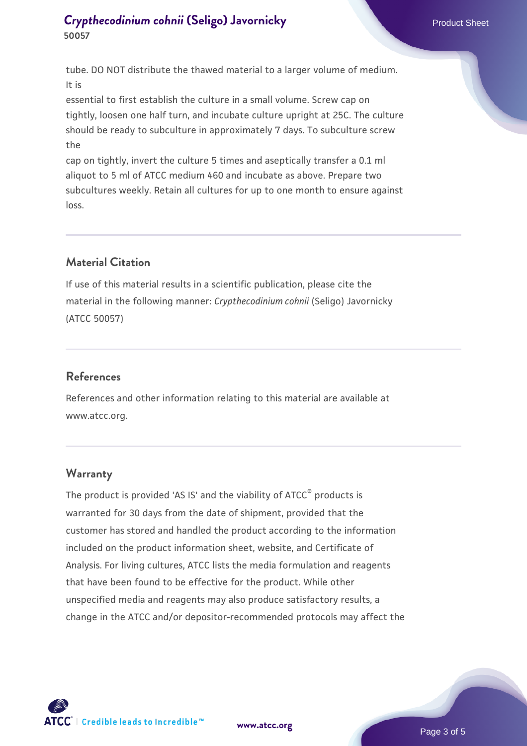tube. DO NOT distribute the thawed material to a larger volume of medium. It is

essential to first establish the culture in a small volume. Screw cap on tightly, loosen one half turn, and incubate culture upright at 25C. The culture should be ready to subculture in approximately 7 days. To subculture screw the

cap on tightly, invert the culture 5 times and aseptically transfer a 0.1 ml aliquot to 5 ml of ATCC medium 460 and incubate as above. Prepare two subcultures weekly. Retain all cultures for up to one month to ensure against loss.

# **Material Citation**

If use of this material results in a scientific publication, please cite the material in the following manner: *Crypthecodinium cohnii* (Seligo) Javornicky (ATCC 50057)

# **References**

References and other information relating to this material are available at www.atcc.org.

# **Warranty**

The product is provided 'AS IS' and the viability of ATCC<sup>®</sup> products is warranted for 30 days from the date of shipment, provided that the customer has stored and handled the product according to the information included on the product information sheet, website, and Certificate of Analysis. For living cultures, ATCC lists the media formulation and reagents that have been found to be effective for the product. While other unspecified media and reagents may also produce satisfactory results, a change in the ATCC and/or depositor-recommended protocols may affect the



**[www.atcc.org](http://www.atcc.org)**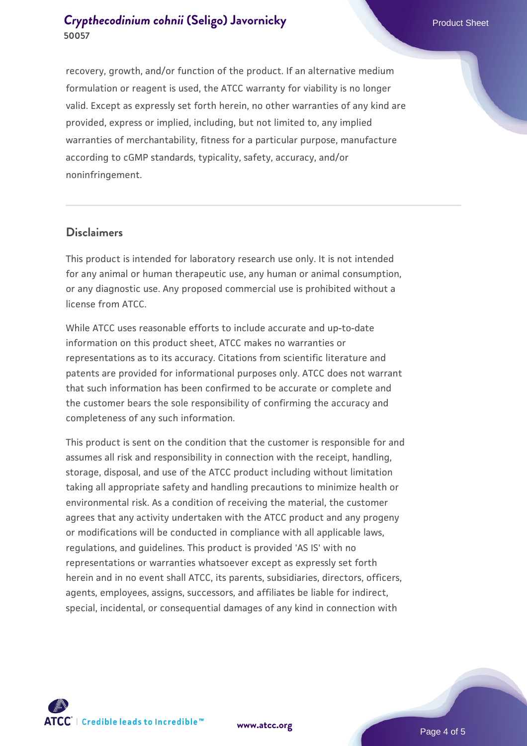recovery, growth, and/or function of the product. If an alternative medium formulation or reagent is used, the ATCC warranty for viability is no longer valid. Except as expressly set forth herein, no other warranties of any kind are provided, express or implied, including, but not limited to, any implied warranties of merchantability, fitness for a particular purpose, manufacture according to cGMP standards, typicality, safety, accuracy, and/or noninfringement.

#### **Disclaimers**

This product is intended for laboratory research use only. It is not intended for any animal or human therapeutic use, any human or animal consumption, or any diagnostic use. Any proposed commercial use is prohibited without a license from ATCC.

While ATCC uses reasonable efforts to include accurate and up-to-date information on this product sheet, ATCC makes no warranties or representations as to its accuracy. Citations from scientific literature and patents are provided for informational purposes only. ATCC does not warrant that such information has been confirmed to be accurate or complete and the customer bears the sole responsibility of confirming the accuracy and completeness of any such information.

This product is sent on the condition that the customer is responsible for and assumes all risk and responsibility in connection with the receipt, handling, storage, disposal, and use of the ATCC product including without limitation taking all appropriate safety and handling precautions to minimize health or environmental risk. As a condition of receiving the material, the customer agrees that any activity undertaken with the ATCC product and any progeny or modifications will be conducted in compliance with all applicable laws, regulations, and guidelines. This product is provided 'AS IS' with no representations or warranties whatsoever except as expressly set forth herein and in no event shall ATCC, its parents, subsidiaries, directors, officers, agents, employees, assigns, successors, and affiliates be liable for indirect, special, incidental, or consequential damages of any kind in connection with